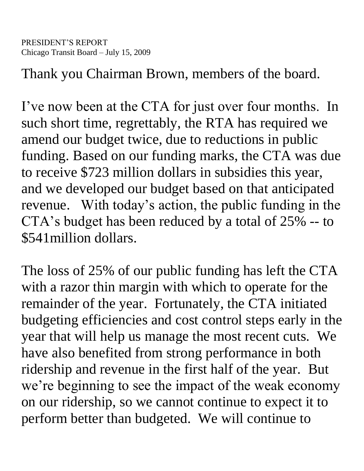Thank you Chairman Brown, members of the board.

I've now been at the CTA for just over four months. In such short time, regrettably, the RTA has required we amend our budget twice, due to reductions in public funding. Based on our funding marks, the CTA was due to receive \$723 million dollars in subsidies this year, and we developed our budget based on that anticipated revenue. With today's action, the public funding in the CTA's budget has been reduced by a total of 25% -- to \$541million dollars.

The loss of 25% of our public funding has left the CTA with a razor thin margin with which to operate for the remainder of the year. Fortunately, the CTA initiated budgeting efficiencies and cost control steps early in the year that will help us manage the most recent cuts. We have also benefited from strong performance in both ridership and revenue in the first half of the year. But we're beginning to see the impact of the weak economy on our ridership, so we cannot continue to expect it to perform better than budgeted. We will continue to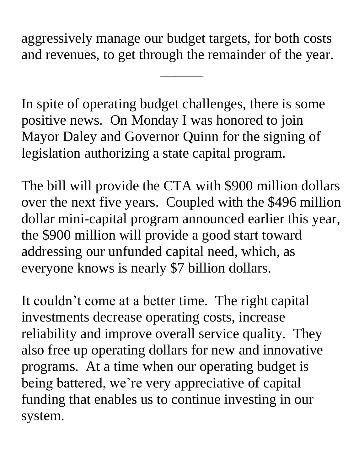aggressively manage our budget targets, for both costs and revenues, to get through the remainder of the year.

 $\overline{\phantom{a}}$ 

In spite of operating budget challenges, there is some positive news. On Monday I was honored to join Mayor Daley and Governor Quinn for the signing of legislation authorizing a state capital program.

The bill will provide the CTA with \$900 million dollars over the next five years. Coupled with the \$496 million dollar mini-capital program announced earlier this year, the \$900 million will provide a good start toward addressing our unfunded capital need, which, as everyone knows is nearly \$7 billion dollars.

It couldn't come at a better time. The right capital investments decrease operating costs, increase reliability and improve overall service quality. They also free up operating dollars for new and innovative programs. At a time when our operating budget is being battered, we're very appreciative of capital funding that enables us to continue investing in our system.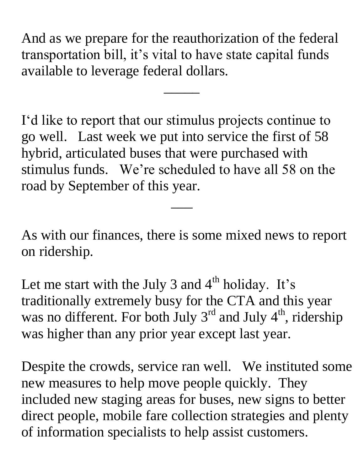And as we prepare for the reauthorization of the federal transportation bill, it's vital to have state capital funds available to leverage federal dollars.

 $\overline{\phantom{a}}$ 

I'd like to report that our stimulus projects continue to go well. Last week we put into service the first of 58 hybrid, articulated buses that were purchased with stimulus funds. We're scheduled to have all 58 on the road by September of this year.

As with our finances, there is some mixed news to report on ridership.

 $\overline{\phantom{a}}$ 

Let me start with the July 3 and  $4<sup>th</sup>$  holiday. It's traditionally extremely busy for the CTA and this year was no different. For both July  $3<sup>rd</sup>$  and July  $4<sup>th</sup>$ , ridership was higher than any prior year except last year.

Despite the crowds, service ran well. We instituted some new measures to help move people quickly. They included new staging areas for buses, new signs to better direct people, mobile fare collection strategies and plenty of information specialists to help assist customers.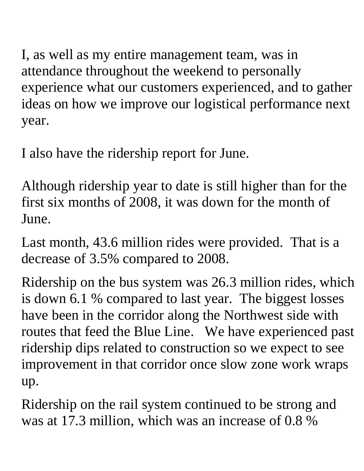I, as well as my entire management team, was in attendance throughout the weekend to personally experience what our customers experienced, and to gather ideas on how we improve our logistical performance next year.

I also have the ridership report for June.

Although ridership year to date is still higher than for the first six months of 2008, it was down for the month of June.

Last month, 43.6 million rides were provided. That is a decrease of 3.5% compared to 2008.

Ridership on the bus system was 26.3 million rides, which is down 6.1 % compared to last year. The biggest losses have been in the corridor along the Northwest side with routes that feed the Blue Line. We have experienced past ridership dips related to construction so we expect to see improvement in that corridor once slow zone work wraps up.

Ridership on the rail system continued to be strong and was at 17.3 million, which was an increase of 0.8 %